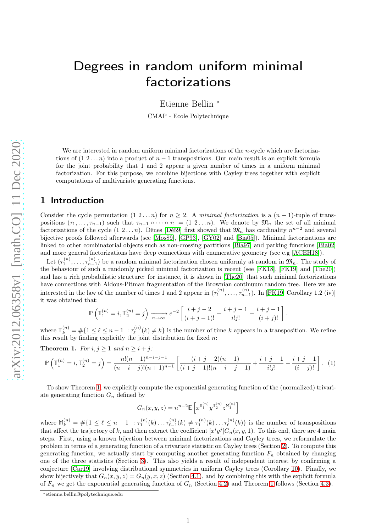# Degrees in random uniform minimal factorizations

Etienne Bellin <sup>∗</sup>

CMAP - Ecole Polytechnique

We are interested in random uniform minimal factorizations of the  $n$ -cycle which are factorizations of  $(1, 2, \ldots, n)$  into a product of  $n - 1$  transpositions. Our main result is an explicit formula for the joint probability that 1 and 2 appear a given number of times in a uniform minimal factorization. For this purpose, we combine bijections with Cayley trees together with explicit computations of multivariate generating functions.

## 1 Introduction

Consider the cycle permutation  $(1 \ 2 \dots n)$  for  $n \geq 2$ . A *minimal factorization* is a  $(n-1)$ -tuple of transpositions  $(\tau_1, \ldots, \tau_{n-1})$  such that  $\tau_{n-1} \circ \cdots \circ \tau_1 = (1 \ 2 \ldots n)$ . We denote by  $\mathfrak{M}_n$  the set of all minimal factorizations of the cycle  $(1 \ 2 ... n)$ . Dénes [\[Dé59\]](#page-9-0) first showed that  $\mathfrak{M}_n$  has cardinality  $n^{n-2}$  and several bijective proofs followed afterwards (see [\[Mos89\]](#page-9-1), [\[GP93\]](#page-9-2), [\[GY02\]](#page-9-3) and [\[Bia05\]](#page-8-0)). Minimal factorizations are linked to other combinatorial objects such as non-crossing partitions [\[Bia97\]](#page-8-1) and parking functions [\[Bia02\]](#page-8-2) and more general factorizations have deep connections with enumerative geometry (see e.g [\[ACEH18\]](#page-8-3)).

Let  $(\tau_1^{(n)},\ldots,\tau_{n-1}^{(n)})$  be a random minimal factorization chosen uniformly at random in  $\mathfrak{M}_n$ . The study of the behaviour of such a randomly picked minimal factorization is recent (see [\[FK18\]](#page-9-4), [\[FK19\]](#page-9-5) and [\[The20\]](#page-9-6)) and has a rich probabilistic structure: for instance, it is shown in [\[The20\]](#page-9-6) that such minimal factorizations have connections with Aldous-Pitman fragmentation of the Brownian continuum random tree. Here we are interested in the law of the number of times 1 and 2 appear in  $(\tau_1^{(n)}, \ldots, \tau_{n-1}^{(n)})$ . In [\[FK19,](#page-9-5) Corollary 1.2 (iv)] it was obtained that:

$$
\mathbb{P}\left(\mathbb{T}_1^{(n)}=i, \mathbb{T}_2^{(n)}=j\right) \xrightarrow[n \to \infty]{} e^{-2} \left[ \frac{i+j-2}{(i+j-1)!} + \frac{i+j-1}{i!j!} - \frac{i+j-1}{(i+j)!} \right]
$$

.

where  $\mathbb{T}_{k}^{(n)} = \#\{1 \leq \ell \leq n-1 \; : \tau_{\ell}^{(n)}\}$  $\ell_k^{(n)}(k) \neq k$  is the number of time k appears in a transposition. We refine this result by finding explicitly the joint distribution for fixed  $n$ :

**Theorem 1.** *For*  $i, j \geq 1$  *and*  $n \geq i + j$ *:* 

<span id="page-0-0"></span>
$$
\mathbb{P}\left(\mathbb{T}_1^{(n)}=i, \mathbb{T}_2^{(n)}=j\right) = \frac{n!(n-1)^{n-i-j-1}}{(n-i-j)!(n+1)^{n-1}} \left[ \frac{(i+j-2)(n-1)}{(i+j-1)!(n-i-j+1)} + \frac{i+j-1}{i!j!} - \frac{i+j-1}{(i+j)!} \right]. \tag{1}
$$

To show Theorem [1,](#page-0-0) we explicitly compute the exponential generating function of the (normalized) trivariate generating function  $G_n$  defined by

$$
G_n(x, y, z) = n^{n-2} \mathbb{E}\left[x^{\mathbb{T}_1^{(n)}} y^{\mathbb{T}_2^{(n)}} z^{\mathbb{M}_1^{(n)}}\right]
$$

where  $\mathbb{M}_k^{(n)} = \#\{1 \leq \ell \leq n-1 \ : \tau_1^{(n)}(k) \dots \tau_{\ell-1}^{(n)}\}$  $\tau_{\ell-1}^{(n)}(k) \neq \tau_1^{(n)}(k) \dots \tau_{\ell}^{(n)}(k)$  is the number of transpositions that affect the trajectory of k, and then extract the coefficient  $[x^i y^j] G_n(x, y, 1)$ . To this end, there are 4 main steps. First, using a known bijection between minimal factorizations and Cayley trees, we reformulate the problem in terms of a generating function of a trivariate statistic on Cayley trees (Section [2\)](#page-1-0). To compute this generating function, we actually start by computing another generating function  $F_n$  obtained by changing one of the three statistics (Section [3\)](#page-3-0). This also yields a result of independent interest by confirming a conjecture [\[Car19\]](#page-8-4) involving distributional symmetries in uniform Cayley trees (Corollary [10\)](#page-3-1). Finally, we show bijectively that  $G_n(x, y, z) = G_n(y, x, z)$  (Section [4.1\)](#page-5-0), and by combining this with the explicit formula of  $F_n$  we get the exponential generating function of  $G_n$  (Section [4.2\)](#page-6-0) and Theorem [1](#page-0-0) follows (Section [4.3\)](#page-7-0).

<sup>∗</sup>etienne.bellin@polytechnique.edu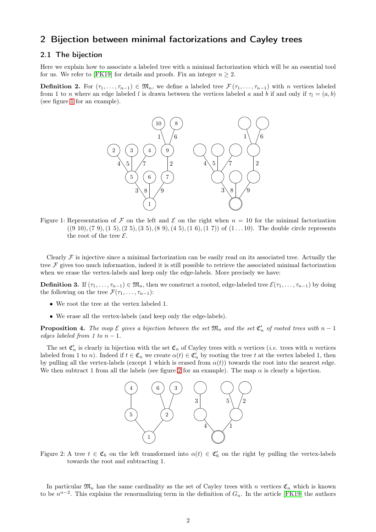# <span id="page-1-0"></span>2 Bijection between minimal factorizations and Cayley trees

### <span id="page-1-3"></span>2.1 The bijection

Here we explain how to associate a labeled tree with a minimal factorization which will be an essential tool for us. We refer to [\[FK19\]](#page-9-5) for details and proofs. Fix an integer  $n > 2$ .

**Definition 2.** For  $(\tau_1, \ldots, \tau_{n-1}) \in \mathfrak{M}_n$ , we define a labeled tree  $\mathcal{F}(\tau_1, \ldots, \tau_{n-1})$  with n vertices labeled from 1 to n where an edge labeled l is drawn between the vertices labeled a and b if and only if  $\tau_l = (a, b)$ (see figure [1](#page-1-1) for an example).



<span id="page-1-1"></span>Figure 1: Representation of F on the left and E on the right when  $n = 10$  for the minimal factorization  $((9 10), (7 9), (1 5), (2 5), (3 5), (8 9), (4 5), (1 6), (1 7))$  of  $(1 \dots 10)$ . The double circle represents the root of the tree  $\mathcal{E}$ .

Clearly  $\mathcal F$  is injective since a minimal factorization can be easily read on its associated tree. Actually the tree  $\mathcal F$  gives too much information, indeed it is still possible to retrieve the associated minimal factorization when we erase the vertex-labels and keep only the edge-labels. More precisely we have:

**Definition 3.** If  $(\tau_1, \ldots, \tau_{n-1}) \in \mathfrak{M}_n$ , then we construct a rooted, edge-labeled tree  $\mathcal{E}(\tau_1, \ldots, \tau_{n-1})$  by doing the following on the tree  $\mathcal{F}(\tau_1, \ldots, \tau_{n-1})$ :

- We root the tree at the vertex labeled 1.
- We erase all the vertex-labels (and keep only the edge-labels).

**Proposition 4.** The map  $\mathcal E$  gives a bijection between the set  $\mathfrak{M}_n$  and the set  $\mathfrak{C}'_n$  of rooted trees with  $n-1$ *edges labeled from 1 to*  $n-1$ *.* 

The set  $\mathfrak{C}'_n$  is clearly in bijection with the set  $\mathfrak{C}_n$  of Cayley trees with n vertices (*i.e.* trees with n vertices labeled from 1 to n). Indeed if  $t \in \mathfrak{C}_n$  we create  $\alpha(t) \in \mathfrak{C}'_n$  by rooting the tree t at the vertex labeled 1, then by pulling all the vertex-labels (except 1 which is erased from  $\alpha(t)$ ) towards the root into the nearest edge. We then subtract 1 from all the labels (see figure [2](#page-1-2) for an example). The map  $\alpha$  is clearly a bijection.



<span id="page-1-2"></span>Figure 2: A tree  $t \in \mathfrak{C}_6$  on the left transformed into  $\alpha(t) \in \mathfrak{C}'_6$  on the right by pulling the vertex-labels towards the root and subtracting 1.

In particular  $\mathfrak{M}_n$  has the same cardinality as the set of Cayley trees with n vertices  $\mathfrak{C}_n$  which is known to be  $n^{n-2}$ . This explains the renormalizing term in the definition of  $G_n$ . In the article [\[FK19\]](#page-9-5) the authors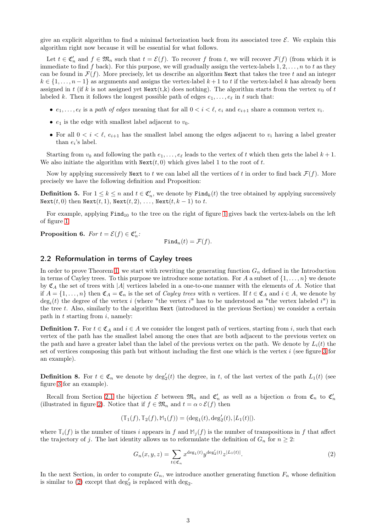give an explicit algorithm to find a minimal factorization back from its associated tree  $\mathcal{E}$ . We explain this algorithm right now because it will be essential for what follows.

Let  $t \in \mathfrak{C}'_n$  and  $f \in \mathfrak{M}_n$  such that  $t = \mathcal{E}(f)$ . To recover f from t, we will recover  $\mathcal{F}(f)$  (from which it is immediate to find f back). For this purpose, we will gradually assign the vertex-labels  $1, 2, \ldots, n$  to t as they can be found in  $\mathcal{F}(f)$ . More precisely, let us describe an algorithm Next that takes the tree t and an integer  $k \in \{1, \ldots, n-1\}$  as arguments and assigns the vertex-label  $k+1$  to t if the vertex-label k has already been assigned in t (if k is not assigned yet  $Next(t, k)$  does nothing). The algorithm starts from the vertex  $v_0$  of t labeled k. Then it follows the longest possible path of edges  $e_1, \ldots, e_\ell$  in t such that:

- $e_1, \ldots, e_\ell$  is a *path of edges* meaning that for all  $0 < i < \ell$ ,  $e_i$  and  $e_{i+1}$  share a common vertex  $v_i$ .
- $e_1$  is the edge with smallest label adjacent to  $v_0$ .
- For all  $0 < i < \ell$ ,  $e_{i+1}$  has the smallest label among the edges adjacent to  $v_i$  having a label greater than  $e_i$ 's label.

Starting from  $v_0$  and following the path  $e_1, \ldots, e_\ell$  leads to the vertex of t which then gets the label  $k + 1$ . We also initiate the algorithm with  $\text{Next}(t, 0)$  which gives label 1 to the root of t.

Now by applying successively Next to t we can label all the vertices of t in order to find back  $\mathcal{F}(f)$ . More precisely we have the following definition and Proposition:

**Definition 5.** For  $1 \leq k \leq n$  and  $t \in \mathfrak{C}'_n$ , we denote by  $\text{Find}_k(t)$  the tree obtained by applying successively Next $(t, 0)$  then Next $(t, 1)$ , Next $(t, 2)$ , ..., Next $(t, k - 1)$  to t.

For example, applying  $Find_{10}$  to the tree on the right of figure [1](#page-1-1) gives back the vertex-labels on the left of figure [1.](#page-1-1)

**Proposition 6.** *For*  $t = \mathcal{E}(f) \in \mathfrak{C}'_n$ :

 $\text{Find}_n(t) = \mathcal{F}(f).$ 

### 2.2 Reformulation in terms of Cayley trees

In order to prove Theorem [1,](#page-0-0) we start with rewriting the generating function  $G_n$  defined in the Introduction in terms of Cayley trees. To this purpose we introduce some notation. For A a subset of  $\{1, \ldots, n\}$  we denote by  $\mathfrak{C}_A$  the set of trees with |A| vertices labeled in a one-to-one manner with the elements of A. Notice that if  $A = \{1, \ldots, n\}$  then  $\mathfrak{C}_A = \mathfrak{C}_n$  is the set of *Cayley trees* with n vertices. If  $t \in \mathfrak{C}_A$  and  $i \in A$ , we denote by  $\deg_i(t)$  the degree of the vertex i (where "the vertex i" has to be understood as "the vertex labeled i") in the tree t. Also, similarly to the algorithm Next (introduced in the previous Section) we consider a certain path in  $t$  starting from  $i$ , namely:

**Definition 7.** For  $t \in \mathfrak{C}_A$  and  $i \in A$  we consider the longest path of vertices, starting from i, such that each vertex of the path has the smallest label among the ones that are both adjacent to the previous vertex on the path and have a greater label than the label of the previous vertex on the path. We denote by  $L_i(t)$  the set of vertices composing this path but without including the first one which is the vertex i (see figure [3](#page-3-2) for an example).

**Definition 8.** For  $t \in \mathfrak{C}_n$  we denote by  $\deg_2'(t)$  the degree, in t, of the last vertex of the path  $L_1(t)$  (see figure [3](#page-3-2) for an example).

Recall from Section [2.1](#page-1-3) the bijection  $\mathcal E$  between  $\mathfrak{M}_n$  and  $\mathfrak{C}'_n$  as well as a bijection  $\alpha$  from  $\mathfrak{C}_n$  to  $\mathfrak{C}'_n$ (illustrated in figure [2\)](#page-1-2). Notice that if  $f \in \mathfrak{M}_n$  and  $t = \alpha \circ \mathcal{E}(f)$  then

$$
(\mathbb{T}_1(f), \mathbb{T}_2(f), \mathbb{M}_1(f)) = (\deg_1(t), \deg'_2(t), |L_1(t)|).
$$

where  $\mathbb{T}_i(f)$  is the number of times i appears in f and  $\mathbb{M}_i(f)$  is the number of transpositions in f that affect the trajectory of j. The last identity allows us to reformulate the definition of  $G_n$  for  $n \geq 2$ :

<span id="page-2-0"></span>
$$
G_n(x, y, z) = \sum_{t \in \mathfrak{C}_n} x^{\deg_1(t)} y^{\deg_2'(t)} z^{|L_1(t)|}.
$$
 (2)

In the next Section, in order to compute  $G_n$ , we introduce another generating function  $F_n$  whose definition is similar to [\(2\)](#page-2-0) except that  $\deg'_2$  is replaced with  $\deg_2$ .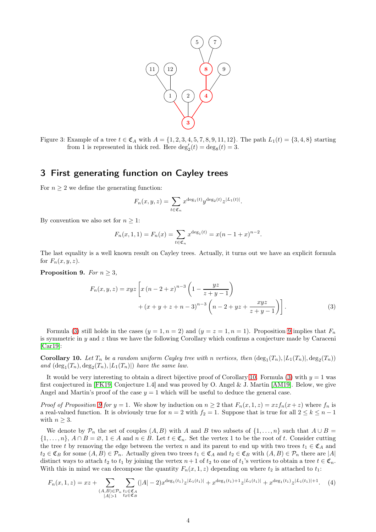

<span id="page-3-2"></span>Figure 3: Example of a tree  $t \in \mathfrak{C}_A$  with  $A = \{1, 2, 3, 4, 5, 7, 8, 9, 11, 12\}$ . The path  $L_1(t) = \{3, 4, 8\}$  starting from 1 is represented in thick red. Here  $\deg_2'(t) = \deg_8(t) = 3$ .

# <span id="page-3-0"></span>3 First generating function on Cayley trees

For  $n \geq 2$  we define the generating function:

<span id="page-3-3"></span>
$$
F_n(x, y, z) = \sum_{t \in \mathfrak{C}_n} x^{\deg_1(t)} y^{\deg_2(t)} z^{|L_1(t)|}.
$$

By convention we also set for  $n \geq 1$ :

$$
F_n(x, 1, 1) = F_n(x) = \sum_{t \in \mathfrak{C}_n} x^{\deg_1(t)} = x(n - 1 + x)^{n-2}.
$$

The last equality is a well known result on Cayley trees. Actually, it turns out we have an explicit formula for  $F_n(x, y, z)$ .

Proposition 9. *For*  $n \geq 3$ ,

$$
F_n(x, y, z) = xyz \left[ x (n - 2 + x)^{n-3} \left( 1 - \frac{yz}{z + y - 1} \right) + (x + y + z + n - 3)^{n-3} \left( n - 2 + yz + \frac{xyz}{z + y - 1} \right) \right].
$$
\n(3)

Formula [\(3\)](#page-3-3) still holds in the cases  $(y = 1, n = 2)$  and  $(y = z = 1, n = 1)$ . Proposition [9](#page-3-3) implies that  $F_n$ is symmetric in  $y$  and  $z$  thus we have the following Corollary which confirms a conjecture made by Caraceni [\[Car19\]](#page-8-4):

<span id="page-3-1"></span>**Corollary 10.** Let  $T_n$  be a random uniform Cayley tree with n vertices, then  $(\deg_1(T_n), |L_1(T_n)|, \deg_2(T_n))$ and  $(\deg_1(T_n), \deg_2(T_n), |L_1(T_n)|)$  *have the same law.* 

It would be very interesting to obtain a direct bijective proof of Corollary [10.](#page-3-1) Formula [\(3\)](#page-3-3) with  $y = 1$  was first conjectured in [\[FK19,](#page-9-5) Conjecture 1.4] and was proved by O. Angel & J. Martin [\[AM19\]](#page-8-5). Below, we give Angel and Martin's proof of the case  $y = 1$  which will be useful to deduce the general case.

*Proof of Proposition* [9](#page-3-3) *for*  $y = 1$ . We show by induction on  $n \geq 2$  that  $F_n(x, 1, z) = xzf_n(x + z)$  where  $f_n$  is a real-valued function. It is obviously true for  $n = 2$  with  $f_2 = 1$ . Suppose that is true for all  $2 \leq k \leq n - 1$ with  $n \geq 3$ .

We denote by  $\mathcal{P}_n$  the set of couples  $(A, B)$  with A and B two subsets of  $\{1, \ldots, n\}$  such that  $A \cup B =$  $\{1,\ldots,n\},\,A\cap B=\varnothing,\,1\in A\,\,\text{and}\,\,n\in B.$  Let  $t\in\mathfrak{C}_n$ . Set the vertex 1 to be the root of t. Consider cutting the tree t by removing the edge between the vertex n and its parent to end up with two trees  $t_1 \in \mathfrak{C}_A$  and  $t_2 \in \mathfrak{C}_B$  for some  $(A, B) \in \mathcal{P}_n$ . Actually given two trees  $t_1 \in \mathfrak{C}_A$  and  $t_2 \in \mathfrak{C}_B$  with  $(A, B) \in \mathcal{P}_n$  there are  $|A|$ distinct ways to attach  $t_2$  to  $t_1$  by joining the vertex  $n+1$  of  $t_2$  to one of  $t_1$ 's vertices to obtain a tree  $t \in \mathfrak{C}_n$ . With this in mind we can decompose the quantity  $F_n(x, 1, z)$  depending on where  $t_2$  is attached to  $t_1$ :

<span id="page-3-4"></span>
$$
F_n(x, 1, z) = xz + \sum_{\substack{(A, B) \in \mathcal{P}_n \\ |A| > 1}} \sum_{\substack{t_1 \in \mathfrak{C}_A \\ t_2 \in \mathfrak{C}_B}} (|A| - 2) x^{\deg_1(t_1)} z^{|L_1(t_1)|} + x^{\deg_1(t_1) + 1} z^{|L_1(t_1)|} + x^{\deg_1(t_1)} z^{|L_1(t_1)| + 1}. \tag{4}
$$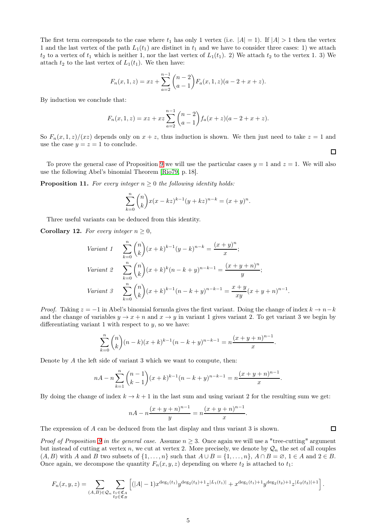The first term corresponds to the case where  $t_1$  has only 1 vertex (i.e.  $|A| = 1$ ). If  $|A| > 1$  then the vertex 1 and the last vertex of the path  $L_1(t_1)$  are distinct in  $t_1$  and we have to consider three cases: 1) we attach  $t_2$  to a vertex of  $t_1$  which is neither 1, nor the last vertex of  $L_1(t_1)$ . 2) We attach  $t_2$  to the vertex 1. 3) We attach  $t_2$  to the last vertex of  $L_1(t_1)$ . We then have:

$$
F_n(x,1,z) = xz + \sum_{a=2}^{n-1} {n-2 \choose a-1} F_a(x,1,z) (a-2+x+z).
$$

By induction we conclude that:

$$
F_n(x, 1, z) = xz + xz \sum_{a=2}^{n-1} {n-2 \choose a-1} f_a(x+z)(a-2+x+z).
$$

So  $F_n(x, 1, z)/(xz)$  depends only on  $x + z$ , thus induction is shown. We then just need to take  $z = 1$  and use the case  $y = z = 1$  to conclude.

To prove the general case of Proposition [9](#page-3-3) we will use the particular cases  $y = 1$  and  $z = 1$ . We will also use the following Abel's binomial Theorem [\[Rio79,](#page-9-7) p. 18].

**Proposition 11.** For every integer  $n \geq 0$  the following identity holds:

$$
\sum_{k=0}^{n} {n \choose k} x(x-kz)^{k-1} (y+kz)^{n-k} = (x+y)^n.
$$

Three useful variants can be deduced from this identity.

**Corollary 12.** For every integer  $n \geq 0$ ,

$$
\begin{aligned}\n\text{Variant 1} \quad & \sum_{k=0}^{n} \binom{n}{k} (x+k)^{k-1} (y-k)^{n-k} = \frac{(x+y)^n}{x}; \\
\text{Variant 2} \quad & \sum_{k=0}^{n} \binom{n}{k} (x+k)^k (n-k+y)^{n-k-1} = \frac{(x+y+n)^n}{y}; \\
\text{Variant 3} \quad & \sum_{k=0}^{n} \binom{n}{k} (x+k)^{k-1} (n-k+y)^{n-k-1} = \frac{x+y}{xy} (x+y+n)^{n-1}.\n\end{aligned}
$$

*Proof.* Taking  $z = -1$  in Abel's binomial formula gives the first variant. Doing the change of index  $k \to n-k$ and the change of variables  $y \to x + n$  and  $x \to y$  in variant 1 gives variant 2. To get variant 3 we begin by differentiating variant 1 with respect to  $y$ , so we have:

$$
\sum_{k=0}^{n} {n \choose k} (n-k)(x+k)^{k-1}(n-k+y)^{n-k-1} = n \frac{(x+y+n)^{n-1}}{x}.
$$

Denote by A the left side of variant 3 which we want to compute, then:

$$
nA - n\sum_{k=1}^{n} {n-1 \choose k-1} (x+k)^{k-1} (n-k+y)^{n-k-1} = n\frac{(x+y+n)^{n-1}}{x}.
$$

By doing the change of index  $k \to k+1$  in the last sum and using variant 2 for the resulting sum we get:

$$
nA - n\frac{(x+y+n)^{n-1}}{y} = n\frac{(x+y+n)^{n-1}}{x}.
$$

The expression of A can be deduced from the last display and thus variant 3 is shown.

*Proof of Proposition* [9](#page-3-3) in the general case. Assume  $n > 3$ . Once again we will use a "tree-cutting" argument but instead of cutting at vertex n, we cut at vertex 2. More precisely, we denote by  $\mathcal{Q}_n$  the set of all couples  $(A, B)$  with A and B two subsets of  $\{1, \ldots, n\}$  such that  $A \cup B = \{1, \ldots, n\}$ ,  $A \cap B = \emptyset$ ,  $1 \in A$  and  $2 \in B$ . Once again, we decompose the quantity  $F_n(x, y, z)$  depending on where  $t_2$  is attached to  $t_1$ :

$$
F_n(x, y, z) = \sum_{(A, B) \in \mathcal{Q}_n} \sum_{\substack{t_1 \in \mathfrak{C}_A \\ t_2 \in \mathfrak{C}_B}} \left[ (|A| - 1) x^{\deg_1(t_1)} y^{\deg_2(t_2) + 1} z^{|L_1(t_1)|} + x^{\deg_1(t_1) + 1} y^{\deg_2(t_2) + 1} z^{|L_2(t_2)| + 1} \right].
$$

 $\Box$ 

 $\Box$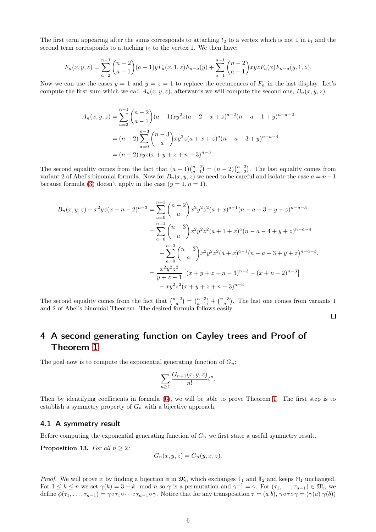The first term appearing after the sums corresponds to attaching  $t_2$  to a vertex which is not 1 in  $t_1$  and the second term corresponds to attaching  $t_2$  to the vertex 1. We then have:

$$
F_n(x, y, z) = \sum_{a=2}^{n-1} {n-2 \choose a-1} (a-1)y F_a(x, 1, z) F_{n-a}(y) + \sum_{a=1}^{n-1} {n-2 \choose a-1} xyz F_a(x) F_{n-a}(y, 1, z).
$$

Now we can use the cases  $y = 1$  and  $y = z = 1$  to replace the occurrences of  $F_n$  in the last display. Let's compute the first sum which we call  $A_n(x, y, z)$ , afterwards we will compute the second one,  $B_n(x, y, z)$ .

$$
A_n(x, y, z) = \sum_{a=2}^{n-1} {n-2 \choose a-1} (a-1)xy^2z(a-2+x+z)^{a-2}(n-a-1+y)^{n-a-2}
$$
  
=  $(n-2)\sum_{a=0}^{n-3} {n-3 \choose a} xy^2z(a+x+z)^a(n-a-3+y)^{n-a-4}$   
=  $(n-2)xyz(x+y+z+n-3)^{n-3}$ .

The second equality comes from the fact that  $(a-1)\binom{n-2}{a-1} = (n-2)\binom{n-3}{a-2}$ . The last equality comes from variant 2 of Abel's binomial formula. Now for  $B_n(x, y, z)$  we need to be careful and isolate the case  $a = n-1$ because formula [\(3\)](#page-3-3) doesn't apply in the case  $(y = 1, n = 1)$ .

$$
B_n(x, y, z) - x^2 yz(x + n - 2)^{n-3} = \sum_{a=0}^{n-3} {n-2 \choose a} x^2 y^2 z^2 (a + x)^{a-1} (n - a - 3 + y + z)^{n-a-3}
$$
  

$$
= \sum_{a=0}^{n-4} {n-3 \choose a} x^2 y^2 z^2 (a + 1 + x)^a (n - a - 4 + y + z)^{n-a-4}
$$
  

$$
+ \sum_{a=0}^{n-3} {n-3 \choose a} x^2 y^2 z^2 (a + x)^{a-1} (n - a - 3 + y + z)^{n-a-3}.
$$
  

$$
= \frac{x^2 y^2 z^2}{y + z - 1} [(x + y + z + n - 3)^{n-3} - (x + n - 2)^{n-3}]
$$
  

$$
+ xy^2 z^2 (x + y + z + n - 3)^{n-3}.
$$

The second equality comes from the fact that  $\binom{n-2}{a} = \binom{n-3}{a-1} + \binom{n-3}{a}$ . The last one comes from variants 1 and 2 of Abel's binomial Theorem. The desired formula follows easily.  $\Box$ 

# 4 A second generating function on Cayley trees and Proof of Theorem [1](#page-0-0)

The goal now is to compute the exponential generating function of  $G_n$ :

$$
\sum_{n\geq 1}\frac{G_{n+1}(x,y,z)}{n!}t^n.
$$

Then by identifying coefficients in formula [\(6\)](#page-6-1), we will be able to prove Theorem [1.](#page-0-0) The first step is to establish a symmetry property of  $G_n$  with a bijective approach.

#### <span id="page-5-0"></span>4.1 A symmetry result

Before computing the exponential generating function of  $G_n$  we first state a useful symmetry result.

<span id="page-5-1"></span>**Proposition 13.** For all  $n \geq 2$ :

$$
G_n(x, y, z) = G_n(y, x, z).
$$

*Proof.* We will prove it by finding a bijection  $\phi$  in  $\mathfrak{M}_n$  which exchanges  $\mathbb{T}_1$  and  $\mathbb{T}_2$  and keeps  $\mathbb{M}_1$  unchanged. For  $1 \leq k \leq n$  we set  $\gamma(k) = 3 - k \mod n$  so  $\gamma$  is a permutation and  $\gamma^{-1} = \gamma$ . For  $(\tau_1, \ldots, \tau_{n-1}) \in \mathfrak{M}_n$  we define  $\phi(\tau_1, \ldots, \tau_{n-1}) = \gamma \circ \tau_1 \circ \cdots \circ \tau_{n-1} \circ \gamma$ . Notice that for any transposition  $\tau = (a \ b)$ ,  $\gamma \circ \tau \circ \gamma = (\gamma(a) \ \gamma(b))$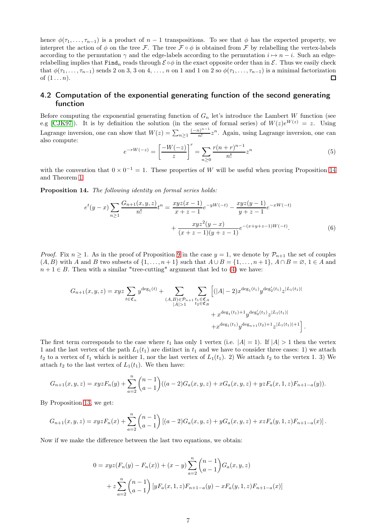hence  $\phi(\tau_1, \ldots, \tau_{n-1})$  is a product of  $n-1$  transpositions. To see that  $\phi$  has the expected property, we interpret the action of  $\phi$  on the tree F. The tree  $\mathcal{F} \circ \phi$  is obtained from F by relabelling the vertex-labels according to the permutation  $\gamma$  and the edge-labels according to the permutation  $i \mapsto n - i$ . Such an edgerelabelling implies that Find<sub>n</sub> reads through  $\mathcal{E} \circ \phi$  in the exact opposite order than in  $\mathcal{E}$ . Thus we easily check that  $\phi(\tau_1,\ldots,\tau_{n-1})$  sends 2 on 3, 3 on 4, ..., n on 1 and 1 on 2 so  $\phi(\tau_1,\ldots,\tau_{n-1})$  is a minimal factorization of  $(1 \ldots n)$ .  $\Box$ 

### <span id="page-6-0"></span>4.2 Computation of the exponential generating function of the second generating function

Before computing the exponential generating function of  $G_n$  let's introduce the Lambert W function (see e.g [\[CJK97\]](#page-8-6)). It is by definition the solution (in the sense of formal series) of  $W(z)e^{W(z)} = z$ . Using Lagrange inversion, one can show that  $W(z) = \sum_{n\geq 1} \frac{(-n)^{n-1}}{n!}$  $\frac{n!}{n!}z^n$ . Again, using Lagrange inversion, one can also compute:

<span id="page-6-2"></span><span id="page-6-1"></span>
$$
e^{-rW(-z)} = \left[\frac{-W(-z)}{z}\right]^r = \sum_{n\geq 0} \frac{r(n+r)^{n-1}}{n!} z^n \tag{5}
$$

with the convention that  $0 \times 0^{-1} = 1$ . These properties of W will be useful when proving Proposition [14](#page-6-1) and Theorem [1.](#page-0-0)

Proposition 14. *The following identity on formal series holds:*

$$
e^{t}(y-x)\sum_{n\geq 1}\frac{G_{n+1}(x,y,z)}{n!}t^{n} = \frac{xyz(x-1)}{x+z-1}e^{-yW(-t)} - \frac{xyz(y-1)}{y+z-1}e^{-xW(-t)} + \frac{xyz^{2}(y-x)}{(x+z-1)(y+z-1)}e^{-(x+y+z-1)W(-t)}.
$$
\n(6)

*Proof.* Fix  $n \geq 1$ . As in the proof of Proposition [9](#page-3-3) in the case  $y = 1$ , we denote by  $\mathcal{P}_{n+1}$  the set of couples  $(A, B)$  with A and B two subsets of  $\{1, \ldots, n+1\}$  such that  $A \cup B = \{1, \ldots, n+1\}$ ,  $A \cap B = \emptyset$ ,  $1 \in A$  and  $n + 1 \in B$ . Then with a similar "tree-cutting" argument that led to [\(4\)](#page-3-4) we have:

$$
G_{n+1}(x,y,z) = xyz \sum_{t \in \mathfrak{C}_n} y^{\deg_1(t)} + \sum_{\substack{(A,B) \in \mathcal{P}_{n+1} \\ |A| > 1}} \sum_{\substack{t_1 \in \mathfrak{C}_A \\ t_2 \in \mathfrak{C}_B}} \left[ (|A| - 2) x^{\deg_1(t_1)} y^{\deg_2'(t_1)} z^{|L_1(t_1)|} + x^{\deg_1(t_1) + 1} y^{\deg_2'(t_1)} z^{|L_1(t_1)|} + x^{\deg_1(t_1)} y^{\deg_{n+1}(t_2) + 1} z^{|L_1(t_1)| + 1} \right].
$$

The first term corresponds to the case where  $t_1$  has only 1 vertex (i.e.  $|A| = 1$ ). If  $|A| > 1$  then the vertex 1 and the last vertex of the path  $L_1(t_1)$  are distinct in  $t_1$  and we have to consider three cases: 1) we attach  $t_2$  to a vertex of  $t_1$  which is neither 1, nor the last vertex of  $L_1(t_1)$ . 2) We attach  $t_2$  to the vertex 1. 3) We attach  $t_2$  to the last vertex of  $L_1(t_1)$ . We then have:

$$
G_{n+1}(x,y,z) = xyzF_n(y) + \sum_{a=2}^{n} {n-1 \choose a-1} ((a-2)G_a(x,y,z) + xG_a(x,y,z) + yzF_a(x,1,z)F_{n+1-a}(y)).
$$

By Proposition [13,](#page-5-1) we get:

$$
G_{n+1}(x,y,z) = xyzF_n(x) + \sum_{a=2}^{n} {n-1 \choose a-1} [(a-2)G_a(x,y,z) + yG_a(x,y,z) + xzF_a(y,1,z)F_{n+1-a}(x)].
$$

Now if we make the difference between the last two equations, we obtain:

$$
0 = xyz(F_n(y) - F_n(x)) + (x - y) \sum_{a=2}^{n} {n-1 \choose a-1} G_a(x, y, z)
$$
  
+ 
$$
z \sum_{a=2}^{n} {n-1 \choose a-1} [yF_a(x, 1, z)F_{n+1-a}(y) - xF_a(y, 1, z)F_{n+1-a}(x)]
$$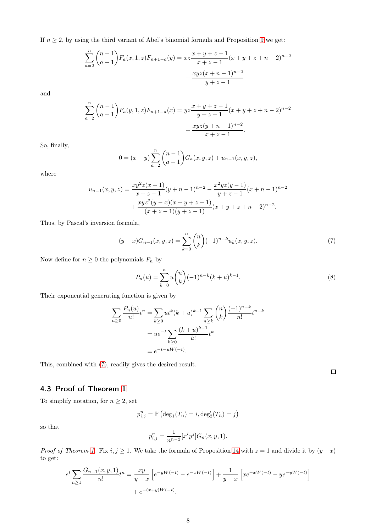If  $n \geq 2$ , by using the third variant of Abel's binomial formula and Proposition [9](#page-3-3) we get:

$$
\sum_{a=2}^{n} {n-1 \choose a-1} F_a(x, 1, z) F_{n+1-a}(y) = xz \frac{x+y+z-1}{x+z-1} (x+y+z+n-2)^{n-2}
$$

$$
- \frac{xyz(x+n-1)^{n-2}}{y+z-1}
$$

and

$$
\sum_{a=2}^{n} {n-1 \choose a-1} F_a(y, 1, z) F_{n+1-a}(x) = yz \frac{x+y+z-1}{y+z-1} (x+y+z+n-2)^{n-2}
$$

$$
- \frac{xyz(y+n-1)^{n-2}}{x+z-1}.
$$

So, finally,

$$
0 = (x - y) \sum_{a=2}^{n} {n-1 \choose a-1} G_a(x, y, z) + u_{n-1}(x, y, z),
$$

where

$$
u_{n-1}(x,y,z) = \frac{xy^2z(x-1)}{x+z-1}(y+n-1)^{n-2} - \frac{x^2yz(y-1)}{y+z-1}(x+n-1)^{n-2} + \frac{xyz^2(y-x)(x+y+z-1)}{(x+z-1)(y+z-1)}(x+y+z+n-2)^{n-2}.
$$

Thus, by Pascal's inversion formula,

<span id="page-7-1"></span>
$$
(y-x)G_{n+1}(x,y,z) = \sum_{k=0}^{n} {n \choose k} (-1)^{n-k} u_k(x,y,z).
$$
 (7)

Now define for  $n\geq 0$  the polynomials  $P_n$  by

<span id="page-7-2"></span>
$$
P_n(u) = \sum_{k=0}^{n} u \binom{n}{k} (-1)^{n-k} (k+u)^{k-1}.
$$
 (8)

Their exponential generating function is given by

$$
\sum_{n\geq 0} \frac{P_n(u)}{n!} t^n = \sum_{k\geq 0} ut^k (k+u)^{k-1} \sum_{n\geq k} \binom{n}{k} \frac{(-1)^{n-k}}{n!} t^{n-k}
$$

$$
= ue^{-t} \sum_{k\geq 0} \frac{(k+u)^{k-1}}{k!} t^k
$$

$$
= e^{-t-uW(-t)}.
$$

This, combined with [\(7\)](#page-7-1), readily gives the desired result.

### <span id="page-7-0"></span>4.3 Proof of Theorem [1](#page-0-0)

To simplify notation, for  $n\geq 2,$  set

$$
p_{i,j}^n = \mathbb{P} (\deg_1(T_n) = i, \deg'_2(T_n) = j)
$$

so that

$$
p_{i,j}^n = \frac{1}{n^{n-2}} [x^i y^j] G_n(x, y, 1).
$$

*Proof of Theorem [1.](#page-0-0)* Fix  $i, j \ge 1$ . We take the formula of Proposition [14](#page-6-1) with  $z = 1$  and divide it by  $(y - x)$ to get:

$$
e^{t} \sum_{n\geq 1} \frac{G_{n+1}(x, y, 1)}{n!} t^{n} = \frac{xy}{y-x} \left[ e^{-yW(-t)} - e^{-xW(-t)} \right] + \frac{1}{y-x} \left[ x e^{-xW(-t)} - y e^{-yW(-t)} \right] + e^{-(x+y)W(-t)}.
$$

 $\Box$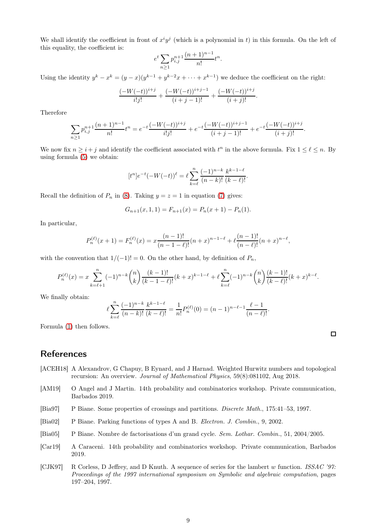We shall identify the coefficient in front of  $x^i y^j$  (which is a polynomial in t) in this formula. On the left of this equality, the coefficient is:

$$
e^t \sum_{n\geq 1} p_{i,j}^{n+1} \frac{(n+1)^{n-1}}{n!} t^n.
$$

Using the identity  $y^k - x^k = (y - x)(y^{k-1} + y^{k-2}x + \cdots + x^{k-1})$  we deduce the coefficient on the right:

$$
\frac{(-W(-t))^{i+j}}{i!j!} + \frac{(-W(-t))^{i+j-1}}{(i+j-1)!} + \frac{(-W(-t))^{i+j}}{(i+j)!}.
$$

Therefore

$$
\sum_{n\geq 1} p_{i,j}^{n+1} \frac{(n+1)^{n-1}}{n!} t^n = e^{-t} \frac{(-W(-t))^{i+j}}{i!j!} + e^{-t} \frac{(-W(-t))^{i+j-1}}{(i+j-1)!} + e^{-t} \frac{(-W(-t))^{i+j}}{(i+j)!}.
$$

We now fix  $n \geq i + j$  and identify the coefficient associated with  $t^n$  in the above formula. Fix  $1 \leq \ell \leq n$ . By using formula [\(5\)](#page-6-2) we obtain:

$$
[t^n]e^{-t}(-W(-t))^\ell = \ell \sum_{k=\ell}^n \frac{(-1)^{n-k}}{(n-k)!} \frac{k^{k-1-\ell}}{(k-\ell)!}.
$$

Recall the definition of  $P_n$  in [\(8\)](#page-7-2). Taking  $y = z = 1$  in equation [\(7\)](#page-7-1) gives:

$$
G_{n+1}(x,1,1) = F_{n+1}(x) = P_n(x+1) - P_n(1).
$$

In particular,

$$
P_n^{(\ell)}(x+1) = F_n^{(\ell)}(x) = x \frac{(n-1)!}{(n-1-\ell)!} (n+x)^{n-1-\ell} + \ell \frac{(n-1)!}{(n-\ell)!} (n+x)^{n-\ell},
$$

with the convention that  $1/(-1)! = 0$ . On the other hand, by definition of  $P_n$ ,

$$
P_n^{(\ell)}(x) = x \sum_{k=\ell+1}^n (-1)^{n-k} \binom{n}{k} \frac{(k-1)!}{(k-1-\ell)!} (k+x)^{k-1-\ell} + \ell \sum_{k=\ell}^n (-1)^{n-k} \binom{n}{k} \frac{(k-1)!}{(k-\ell)!} (k+x)^{k-\ell}.
$$

We finally obtain:

$$
\ell \sum_{k=\ell}^{n} \frac{(-1)^{n-k}}{(n-k)!} \frac{k^{k-1-\ell}}{(k-\ell)!} = \frac{1}{n!} P_n^{(\ell)}(0) = (n-1)^{n-\ell-1} \frac{\ell-1}{(n-\ell)!}.
$$

Formula [\(1\)](#page-0-0) then follows.

# References

- <span id="page-8-3"></span>[ACEH18] A Alexandrov, G Chapuy, B Eynard, and J Harnad. Weighted Hurwitz numbers and topological recursion: An overview. *Journal of Mathematical Physics*, 59(8):081102, Aug 2018.
- <span id="page-8-5"></span>[AM19] O Angel and J Martin. 14th probability and combinatorics workshop. Private communication, Barbados 2019.
- <span id="page-8-1"></span>[Bia97] P Biane. Some properties of crossings and partitions. *Discrete Math.*, 175:41–53, 1997.
- <span id="page-8-2"></span>[Bia02] P Biane. Parking functions of types A and B. *Electron. J. Combin.*, 9, 2002.
- <span id="page-8-0"></span>[Bia05] P Biane. Nombre de factorisations d'un grand cycle. *Sem. Lothar. Combin.*, 51, 2004/2005.
- <span id="page-8-4"></span>[Car19] A Caraceni. 14th probability and combinatorics workshop. Private communication, Barbados 2019.
- <span id="page-8-6"></span>[CJK97] R Corless, D Jeffrey, and D Knuth. A sequence of series for the lambert w function. *ISSAC '97: Proceedings of the 1997 international symposium on Symbolic and algebraic computation*, pages 197–204, 1997.